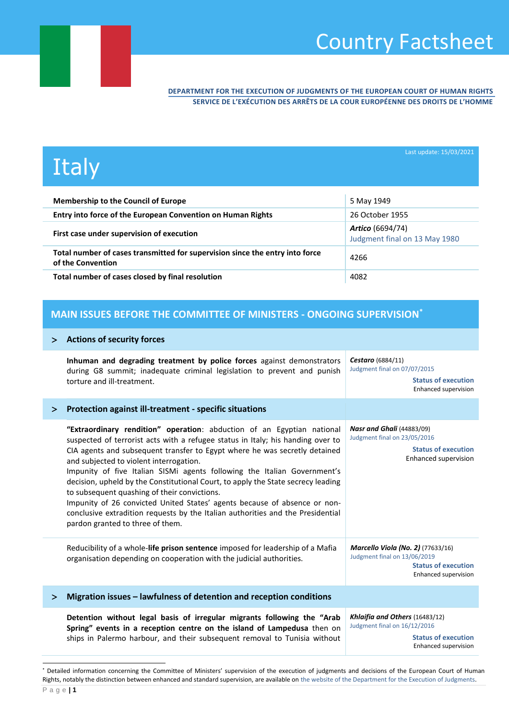## Country Factsheet

**DEPARTMENT FOR THE EXECUTION OF JUDGMENTS OF THE EUROPEAN COURT OF HUMAN RIGHTS SERVICE DE L'EXÉCUTION DES ARRÊTS DE LA COUR EUROPÉENNE DES DROITS DE L'HOMME**

# **Italy**

Last update: 15/03/2021

| <b>Membership to the Council of Europe</b>                                                        | 5 May 1949                                               |
|---------------------------------------------------------------------------------------------------|----------------------------------------------------------|
| Entry into force of the European Convention on Human Rights                                       | 26 October 1955                                          |
| First case under supervision of execution                                                         | <b>Artico</b> (6694/74)<br>Judgment final on 13 May 1980 |
| Total number of cases transmitted for supervision since the entry into force<br>of the Convention | 4266                                                     |
| Total number of cases closed by final resolution                                                  | 4082                                                     |

### **MAIN ISSUES BEFORE THE COMMITTEE OF MINISTERS - ONGOING SUPERVISION\***

#### **Actions of security forces**

|        | Inhuman and degrading treatment by police forces against demonstrators<br>during G8 summit; inadequate criminal legislation to prevent and punish<br>torture and ill-treatment.                                                                                                                                                                                                                                                                                                                                                                                                                                                                                                                        | Cestaro (6884/11)<br>Judgment final on 07/07/2015<br><b>Status of execution</b>                                                |
|--------|--------------------------------------------------------------------------------------------------------------------------------------------------------------------------------------------------------------------------------------------------------------------------------------------------------------------------------------------------------------------------------------------------------------------------------------------------------------------------------------------------------------------------------------------------------------------------------------------------------------------------------------------------------------------------------------------------------|--------------------------------------------------------------------------------------------------------------------------------|
|        |                                                                                                                                                                                                                                                                                                                                                                                                                                                                                                                                                                                                                                                                                                        | Enhanced supervision                                                                                                           |
| $\geq$ | Protection against ill-treatment - specific situations                                                                                                                                                                                                                                                                                                                                                                                                                                                                                                                                                                                                                                                 |                                                                                                                                |
|        | "Extraordinary rendition" operation: abduction of an Egyptian national<br>suspected of terrorist acts with a refugee status in Italy; his handing over to<br>CIA agents and subsequent transfer to Egypt where he was secretly detained<br>and subjected to violent interrogation.<br>Impunity of five Italian SISMi agents following the Italian Government's<br>decision, upheld by the Constitutional Court, to apply the State secrecy leading<br>to subsequent quashing of their convictions.<br>Impunity of 26 convicted United States' agents because of absence or non-<br>conclusive extradition requests by the Italian authorities and the Presidential<br>pardon granted to three of them. | <b>Nasr and Ghali</b> (44883/09)<br>Judgment final on 23/05/2016<br><b>Status of execution</b><br>Enhanced supervision         |
|        | Reducibility of a whole-life prison sentence imposed for leadership of a Mafia<br>organisation depending on cooperation with the judicial authorities.                                                                                                                                                                                                                                                                                                                                                                                                                                                                                                                                                 | <b>Marcello Viola (No. 2)</b> (77633/16)<br>Judgment final on 13/06/2019<br><b>Status of execution</b><br>Enhanced supervision |
| ⋗      | Migration issues - lawfulness of detention and reception conditions                                                                                                                                                                                                                                                                                                                                                                                                                                                                                                                                                                                                                                    |                                                                                                                                |
|        | Detention without legal basis of irregular migrants following the "Arab<br>Spring" events in a reception centre on the island of Lampedusa then on<br>ships in Palermo harbour, and their subsequent removal to Tunisia without                                                                                                                                                                                                                                                                                                                                                                                                                                                                        | Khlaifia and Others (16483/12)<br>Judgment final on 16/12/2016<br><b>Status of execution</b><br>Enhanced supervision           |

<sup>\*</sup> Detailed information concerning the Committee of Ministers' supervision of the execution of judgments and decisions of the European Court of Human Rights, notably the distinction between enhanced and standard supervision, are available on [the website of the Department for the Execution of Judgments.](http://www.coe.int/en/web/execution/glossary)

l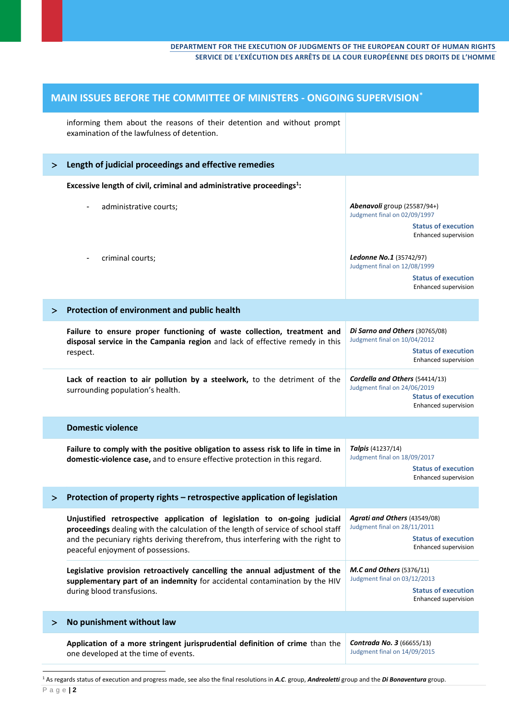| MAIN ISSUES BEFORE THE COMMITTEE OF MINISTERS - ONGOING SUPERVISION <sup>*</sup> |                                                                                                                                                                                         |                                                                                                                      |
|----------------------------------------------------------------------------------|-----------------------------------------------------------------------------------------------------------------------------------------------------------------------------------------|----------------------------------------------------------------------------------------------------------------------|
|                                                                                  | informing them about the reasons of their detention and without prompt<br>examination of the lawfulness of detention.                                                                   |                                                                                                                      |
| ➤                                                                                | Length of judicial proceedings and effective remedies                                                                                                                                   |                                                                                                                      |
|                                                                                  | Excessive length of civil, criminal and administrative proceedings <sup>1</sup> :                                                                                                       |                                                                                                                      |
|                                                                                  | administrative courts;<br>$\qquad \qquad \blacksquare$                                                                                                                                  | Abenavoli group (25587/94+)<br>Judgment final on 02/09/1997                                                          |
|                                                                                  |                                                                                                                                                                                         | <b>Status of execution</b><br>Enhanced supervision                                                                   |
|                                                                                  | criminal courts;<br>÷                                                                                                                                                                   | <b>Ledonne No.1</b> (35742/97)<br>Judgment final on 12/08/1999                                                       |
|                                                                                  |                                                                                                                                                                                         | <b>Status of execution</b><br>Enhanced supervision                                                                   |
| $\geq$                                                                           | Protection of environment and public health                                                                                                                                             |                                                                                                                      |
|                                                                                  | Failure to ensure proper functioning of waste collection, treatment and<br>disposal service in the Campania region and lack of effective remedy in this                                 | Di Sarno and Others (30765/08)<br>Judgment final on 10/04/2012                                                       |
|                                                                                  | respect.                                                                                                                                                                                | <b>Status of execution</b><br>Enhanced supervision                                                                   |
|                                                                                  | Lack of reaction to air pollution by a steelwork, to the detriment of the<br>surrounding population's health.                                                                           | Cordella and Others (54414/13)<br>Judgment final on 24/06/2019<br><b>Status of execution</b><br>Enhanced supervision |
|                                                                                  | <b>Domestic violence</b>                                                                                                                                                                |                                                                                                                      |
|                                                                                  | Failure to comply with the positive obligation to assess risk to life in time in<br>domestic-violence case, and to ensure effective protection in this regard.                          | Talpis (41237/14)<br>Judgment final on 18/09/2017<br><b>Status of execution</b><br><b>Enhanced supervision</b>       |
| ⋗                                                                                | Protection of property rights - retrospective application of legislation                                                                                                                |                                                                                                                      |
|                                                                                  | Unjustified retrospective application of legislation to on-going judicial<br>proceedings dealing with the calculation of the length of service of school staff                          | Agrati and Others (43549/08)<br>Judgment final on 28/11/2011                                                         |
|                                                                                  | and the pecuniary rights deriving therefrom, thus interfering with the right to<br>peaceful enjoyment of possessions.                                                                   | <b>Status of execution</b><br>Enhanced supervision                                                                   |
|                                                                                  | Legislative provision retroactively cancelling the annual adjustment of the<br>supplementary part of an indemnity for accidental contamination by the HIV<br>during blood transfusions. | <b>M.C and Others</b> (5376/11)<br>Judgment final on 03/12/2013                                                      |
|                                                                                  |                                                                                                                                                                                         | <b>Status of execution</b><br>Enhanced supervision                                                                   |
| ⋗                                                                                | No punishment without law                                                                                                                                                               |                                                                                                                      |
|                                                                                  | Application of a more stringent jurisprudential definition of crime than the<br>one developed at the time of events.                                                                    | Contrada No. 3 (66655/13)<br>Judgment final on 14/09/2015                                                            |
|                                                                                  |                                                                                                                                                                                         |                                                                                                                      |

<sup>1</sup> As regards status of execution and progress made, see also the final resolutions in *A.C*. group, *Andreoletti* group and the *Di Bonaventura* group.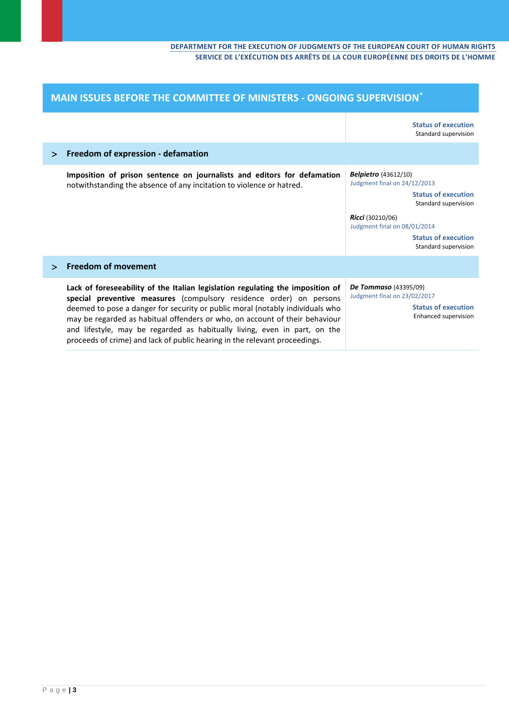| MAIN ISSUES BEFORE THE COMMITTEE OF MINISTERS - ONGOING SUPERVISION* |                                                                                                                                                                                                                                                                                                                                                                                                                                                                                  |                                                                                                                                                                                                                             |
|----------------------------------------------------------------------|----------------------------------------------------------------------------------------------------------------------------------------------------------------------------------------------------------------------------------------------------------------------------------------------------------------------------------------------------------------------------------------------------------------------------------------------------------------------------------|-----------------------------------------------------------------------------------------------------------------------------------------------------------------------------------------------------------------------------|
|                                                                      |                                                                                                                                                                                                                                                                                                                                                                                                                                                                                  | <b>Status of execution</b><br>Standard supervision                                                                                                                                                                          |
| $\geq$                                                               | Freedom of expression - defamation                                                                                                                                                                                                                                                                                                                                                                                                                                               |                                                                                                                                                                                                                             |
|                                                                      | Imposition of prison sentence on journalists and editors for defamation<br>notwithstanding the absence of any incitation to violence or hatred.                                                                                                                                                                                                                                                                                                                                  | <b>Belpietro</b> (43612/10)<br>Judgment final on 24/12/2013<br><b>Status of execution</b><br>Standard supervision<br>Ricci (30210/06)<br>Judgment final on 08/01/2014<br><b>Status of execution</b><br>Standard supervision |
| $\geq$                                                               | <b>Freedom of movement</b>                                                                                                                                                                                                                                                                                                                                                                                                                                                       |                                                                                                                                                                                                                             |
|                                                                      | Lack of foreseeability of the Italian legislation regulating the imposition of<br>special preventive measures (compulsory residence order) on persons<br>deemed to pose a danger for security or public moral (notably individuals who<br>may be regarded as habitual offenders or who, on account of their behaviour<br>and lifestyle, may be regarded as habitually living, even in part, on the<br>proceeds of crime) and lack of public hearing in the relevant proceedings. | <b>De Tommaso</b> (43395/09)<br>Judgment final on 23/02/2017<br><b>Status of execution</b><br>Enhanced supervision                                                                                                          |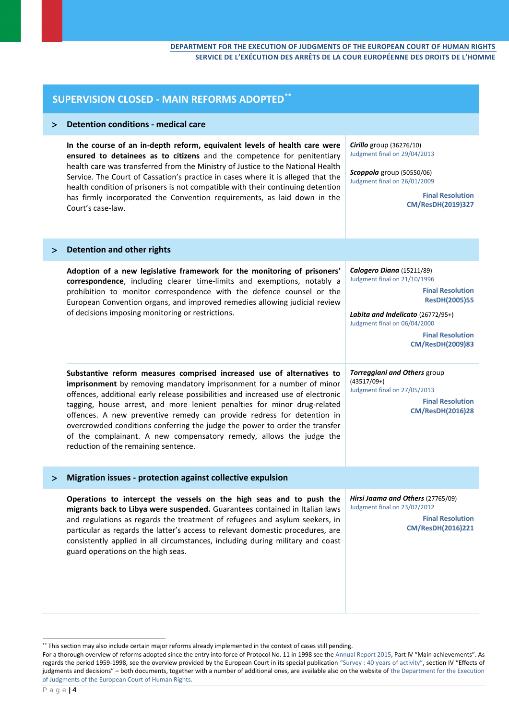| <b>SUPERVISION CLOSED - MAIN REFORMS ADOPTED**</b> |                                                                                                                                                                                                                                                                                                                                                                                                                                                                                                                                                                                         |                                                                                                                                                                                                                                         |
|----------------------------------------------------|-----------------------------------------------------------------------------------------------------------------------------------------------------------------------------------------------------------------------------------------------------------------------------------------------------------------------------------------------------------------------------------------------------------------------------------------------------------------------------------------------------------------------------------------------------------------------------------------|-----------------------------------------------------------------------------------------------------------------------------------------------------------------------------------------------------------------------------------------|
| ⋗                                                  | <b>Detention conditions - medical care</b>                                                                                                                                                                                                                                                                                                                                                                                                                                                                                                                                              |                                                                                                                                                                                                                                         |
|                                                    | In the course of an in-depth reform, equivalent levels of health care were<br>ensured to detainees as to citizens and the competence for penitentiary<br>health care was transferred from the Ministry of Justice to the National Health<br>Service. The Court of Cassation's practice in cases where it is alleged that the<br>health condition of prisoners is not compatible with their continuing detention<br>has firmly incorporated the Convention requirements, as laid down in the<br>Court's case-law.                                                                        | Cirillo group (36276/10)<br>Judgment final on 29/04/2013<br>Scoppola group (50550/06)<br>Judgment final on 26/01/2009<br><b>Final Resolution</b><br>CM/ResDH(2019)327                                                                   |
| ⋗                                                  | <b>Detention and other rights</b>                                                                                                                                                                                                                                                                                                                                                                                                                                                                                                                                                       |                                                                                                                                                                                                                                         |
|                                                    | Adoption of a new legislative framework for the monitoring of prisoners'<br>correspondence, including clearer time-limits and exemptions, notably a<br>prohibition to monitor correspondence with the defence counsel or the<br>European Convention organs, and improved remedies allowing judicial review<br>of decisions imposing monitoring or restrictions.                                                                                                                                                                                                                         | Calogero Diana (15211/89)<br>Judgment final on 21/10/1996<br><b>Final Resolution</b><br><b>ResDH(2005)55</b><br>Labita and Indelicato (26772/95+)<br>Judgment final on 06/04/2000<br><b>Final Resolution</b><br><b>CM/ResDH(2009)83</b> |
|                                                    | Substantive reform measures comprised increased use of alternatives to<br>imprisonment by removing mandatory imprisonment for a number of minor<br>offences, additional early release possibilities and increased use of electronic<br>tagging, house arrest, and more lenient penalties for minor drug-related<br>offences. A new preventive remedy can provide redress for detention in<br>overcrowded conditions conferring the judge the power to order the transfer<br>of the complainant. A new compensatory remedy, allows the judge the<br>reduction of the remaining sentence. | Torreggiani and Others group<br>$(43517/09+)$<br>Judgment final on 27/05/2013<br><b>Final Resolution</b><br><b>CM/ResDH(2016)28</b>                                                                                                     |
| ➢                                                  | Migration issues - protection against collective expulsion                                                                                                                                                                                                                                                                                                                                                                                                                                                                                                                              |                                                                                                                                                                                                                                         |
|                                                    | Operations to intercept the vessels on the high seas and to push the<br>migrants back to Libya were suspended. Guarantees contained in Italian laws<br>and regulations as regards the treatment of refugees and asylum seekers, in<br>particular as regards the latter's access to relevant domestic procedures, are<br>consistently applied in all circumstances, including during military and coast<br>guard operations on the high seas.                                                                                                                                            | Hirsi Jaama and Others (27765/09)<br>Judgment final on 23/02/2012<br><b>Final Resolution</b><br>CM/ResDH(2016)221                                                                                                                       |

l

<sup>\*\*</sup> This section may also include certain major reforms already implemented in the context of cases still pending.

For a thorough overview of reforms adopted since the entry into force of Protocol No. 11 in 1998 see th[e Annual Report 2015](https://rm.coe.int/CoERMPublicCommonSearchServices/DisplayDCTMContent?documentId=090000168062fe2d), Part IV "Main achievements". As regards the period 1959-1998, see the overview provided by the European Court in its special publication "[Survey : 40 years of activity](http://www.echr.coe.int/Documents/Survey_19591998_BIL.pdf)", section IV "Effects of judgments and decisions" – both documents, together with a number of additional ones, are available also on the website of [the Department for the Execution](http://www.coe.int/en/web/execution/closed-cases)  [of Judgments of the European Court of Human Rights.](http://www.coe.int/en/web/execution/closed-cases)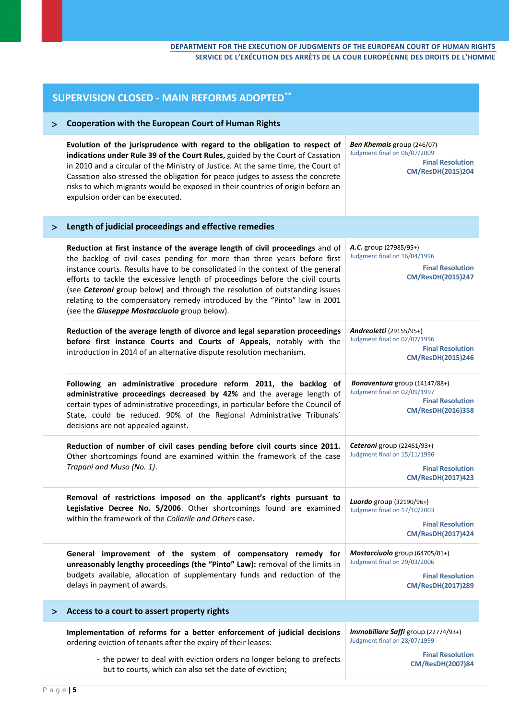| <b>SUPERVISION CLOSED - MAIN REFORMS ADOPTED**</b> |                                                                                                                                                                                                                                                                                                                                                                                                                                                                                                                                                  |                                                                                                                   |  |
|----------------------------------------------------|--------------------------------------------------------------------------------------------------------------------------------------------------------------------------------------------------------------------------------------------------------------------------------------------------------------------------------------------------------------------------------------------------------------------------------------------------------------------------------------------------------------------------------------------------|-------------------------------------------------------------------------------------------------------------------|--|
| ➢                                                  | <b>Cooperation with the European Court of Human Rights</b>                                                                                                                                                                                                                                                                                                                                                                                                                                                                                       |                                                                                                                   |  |
|                                                    | Evolution of the jurisprudence with regard to the obligation to respect of<br>indications under Rule 39 of the Court Rules, guided by the Court of Cassation<br>in 2010 and a circular of the Ministry of Justice. At the same time, the Court of<br>Cassation also stressed the obligation for peace judges to assess the concrete<br>risks to which migrants would be exposed in their countries of origin before an<br>expulsion order can be executed.                                                                                       | Ben Khemais group (246/07)<br>Judgment final on 06/07/2009<br><b>Final Resolution</b><br>CM/ResDH(2015)204        |  |
| ➢                                                  | Length of judicial proceedings and effective remedies                                                                                                                                                                                                                                                                                                                                                                                                                                                                                            |                                                                                                                   |  |
|                                                    | Reduction at first instance of the average length of civil proceedings and of<br>the backlog of civil cases pending for more than three years before first<br>instance courts. Results have to be consolidated in the context of the general<br>efforts to tackle the excessive length of proceedings before the civil courts<br>(see Ceteroni group below) and through the resolution of outstanding issues<br>relating to the compensatory remedy introduced by the "Pinto" law in 2001<br>(see the <b>Giuseppe Mostacciuolo</b> group below). | A.C. group (27985/95+)<br>Judgment final on 16/04/1996<br><b>Final Resolution</b><br><b>CM/ResDH(2015)247</b>     |  |
|                                                    | Reduction of the average length of divorce and legal separation proceedings<br>before first instance Courts and Courts of Appeals, notably with the<br>introduction in 2014 of an alternative dispute resolution mechanism.                                                                                                                                                                                                                                                                                                                      | Andreoletti (29155/95+)<br>Judgment final on 02/07/1996<br><b>Final Resolution</b><br><b>CM/ResDH(2015)246</b>    |  |
|                                                    | Following an administrative procedure reform 2011, the backlog of<br>administrative proceedings decreased by 42% and the average length of<br>certain types of administrative proceedings, in particular before the Council of<br>State, could be reduced. 90% of the Regional Administrative Tribunals'<br>decisions are not appealed against.                                                                                                                                                                                                  | Bonaventura group (14147/88+)<br>Judgment final on 02/09/1997<br><b>Final Resolution</b><br>CM/ResDH(2016)358     |  |
|                                                    | Reduction of number of civil cases pending before civil courts since 2011.<br>Other shortcomings found are examined within the framework of the case<br>Trapani and Muso (No. 1).                                                                                                                                                                                                                                                                                                                                                                | Ceteroni group (22461/93+)<br>Judgment final on 15/11/1996<br><b>Final Resolution</b><br><b>CM/ResDH(2017)423</b> |  |
|                                                    | Removal of restrictions imposed on the applicant's rights pursuant to<br>Legislative Decree No. 5/2006. Other shortcomings found are examined<br>within the framework of the Collarile and Others case.                                                                                                                                                                                                                                                                                                                                          | Luordo group (32190/96+)<br>Judgment final on 17/10/2003<br><b>Final Resolution</b><br>CM/ResDH(2017)424          |  |
|                                                    | General improvement of the system of compensatory remedy for<br>unreasonably lengthy proceedings (the "Pinto" Law): removal of the limits in<br>budgets available, allocation of supplementary funds and reduction of the<br>delays in payment of awards.                                                                                                                                                                                                                                                                                        | Mostacciuolo group (64705/01+)<br>Judgment final on 29/03/2006<br><b>Final Resolution</b><br>CM/ResDH(2017)289    |  |
| ⋗                                                  | Access to a court to assert property rights                                                                                                                                                                                                                                                                                                                                                                                                                                                                                                      |                                                                                                                   |  |
|                                                    | Implementation of reforms for a better enforcement of judicial decisions<br>ordering eviction of tenants after the expiry of their leases:<br>- the power to deal with eviction orders no longer belong to prefects                                                                                                                                                                                                                                                                                                                              | Immobiliare Saffi group (22774/93+)<br>Judgment final on 28/07/1999<br><b>Final Resolution</b>                    |  |
|                                                    | but to courts, which can also set the date of eviction;                                                                                                                                                                                                                                                                                                                                                                                                                                                                                          | <b>CM/ResDH(2007)84</b>                                                                                           |  |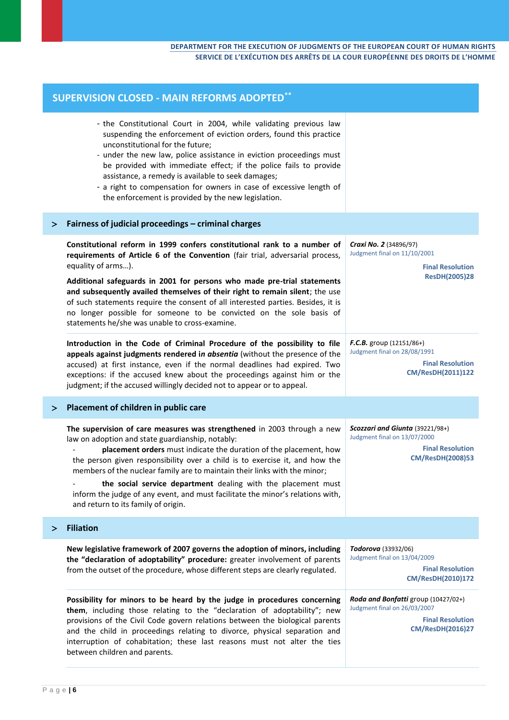| <b>SUPERVISION CLOSED - MAIN REFORMS ADOPTED**</b> |                                                                                                                                                                                                                                                                                                                                                                                                                                                                                                                                                         |                                                                                                                           |
|----------------------------------------------------|---------------------------------------------------------------------------------------------------------------------------------------------------------------------------------------------------------------------------------------------------------------------------------------------------------------------------------------------------------------------------------------------------------------------------------------------------------------------------------------------------------------------------------------------------------|---------------------------------------------------------------------------------------------------------------------------|
|                                                    | - the Constitutional Court in 2004, while validating previous law<br>suspending the enforcement of eviction orders, found this practice<br>unconstitutional for the future;<br>- under the new law, police assistance in eviction proceedings must<br>be provided with immediate effect; if the police fails to provide<br>assistance, a remedy is available to seek damages;<br>- a right to compensation for owners in case of excessive length of<br>the enforcement is provided by the new legislation.                                             |                                                                                                                           |
| ⋗                                                  | Fairness of judicial proceedings - criminal charges                                                                                                                                                                                                                                                                                                                                                                                                                                                                                                     |                                                                                                                           |
|                                                    | Constitutional reform in 1999 confers constitutional rank to a number of<br>requirements of Article 6 of the Convention (fair trial, adversarial process,<br>equality of arms).<br>Additional safeguards in 2001 for persons who made pre-trial statements<br>and subsequently availed themselves of their right to remain silent; the use<br>of such statements require the consent of all interested parties. Besides, it is<br>no longer possible for someone to be convicted on the sole basis of<br>statements he/she was unable to cross-examine. | Craxi No. 2 (34896/97)<br>Judgment final on 11/10/2001<br><b>Final Resolution</b><br><b>ResDH(2005)28</b>                 |
|                                                    | Introduction in the Code of Criminal Procedure of the possibility to file<br>appeals against judgments rendered in absentia (without the presence of the<br>accused) at first instance, even if the normal deadlines had expired. Two<br>exceptions: if the accused knew about the proceedings against him or the<br>judgment; if the accused willingly decided not to appear or to appeal.                                                                                                                                                             | $F.C.B.$ group (12151/86+)<br>Judgment final on 28/08/1991<br><b>Final Resolution</b><br>CM/ResDH(2011)122                |
| ⋗                                                  | Placement of children in public care                                                                                                                                                                                                                                                                                                                                                                                                                                                                                                                    |                                                                                                                           |
|                                                    | The supervision of care measures was strengthened in 2003 through a new<br>law on adoption and state guardianship, notably:<br>placement orders must indicate the duration of the placement, how<br>the person given responsibility over a child is to exercise it, and how the<br>members of the nuclear family are to maintain their links with the minor;<br>the social service department dealing with the placement must<br>inform the judge of any event, and must facilitate the minor's relations with,<br>and return to its family of origin.  | Scozzari and Giunta (39221/98+)<br>Judgment final on 13/07/2000<br><b>Final Resolution</b><br><b>CM/ResDH(2008)53</b>     |
| ⋗                                                  | <b>Filiation</b>                                                                                                                                                                                                                                                                                                                                                                                                                                                                                                                                        |                                                                                                                           |
|                                                    | New legislative framework of 2007 governs the adoption of minors, including<br>the "declaration of adoptability" procedure: greater involvement of parents<br>from the outset of the procedure, whose different steps are clearly regulated.                                                                                                                                                                                                                                                                                                            | Todorova (33932/06)<br>Judgment final on 13/04/2009<br><b>Final Resolution</b><br>CM/ResDH(2010)172                       |
|                                                    | Possibility for minors to be heard by the judge in procedures concerning<br>them, including those relating to the "declaration of adoptability"; new<br>provisions of the Civil Code govern relations between the biological parents<br>and the child in proceedings relating to divorce, physical separation and<br>interruption of cohabitation; these last reasons must not alter the ties<br>between children and parents.                                                                                                                          | Roda and Bonfatti group (10427/02+)<br>Judgment final on 26/03/2007<br><b>Final Resolution</b><br><b>CM/ResDH(2016)27</b> |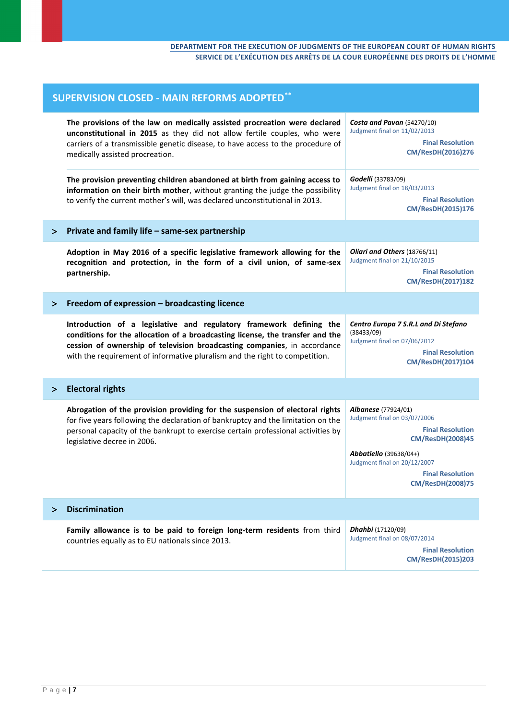#### **DEPARTMENT FOR THE EXECUTION OF JUDGMENTS OF THE EUROPEAN COURT OF HUMAN RIGHTS SERVICE DE L'EXÉCUTION DES ARRÊTS DE LA COUR EUROPÉENNE DES DROITS DE L'HOMME**

| <b>SUPERVISION CLOSED - MAIN REFORMS ADOPTED**</b> |                                                                                                                                                                                                                                                                                                                 |                                                                                                                                                                                                                                  |
|----------------------------------------------------|-----------------------------------------------------------------------------------------------------------------------------------------------------------------------------------------------------------------------------------------------------------------------------------------------------------------|----------------------------------------------------------------------------------------------------------------------------------------------------------------------------------------------------------------------------------|
|                                                    | The provisions of the law on medically assisted procreation were declared<br>unconstitutional in 2015 as they did not allow fertile couples, who were<br>carriers of a transmissible genetic disease, to have access to the procedure of<br>medically assisted procreation.                                     | Costa and Pavan (54270/10)<br>Judgment final on 11/02/2013<br><b>Final Resolution</b><br>CM/ResDH(2016)276                                                                                                                       |
|                                                    | The provision preventing children abandoned at birth from gaining access to<br>information on their birth mother, without granting the judge the possibility<br>to verify the current mother's will, was declared unconstitutional in 2013.                                                                     | Godelli (33783/09)<br>Judgment final on 18/03/2013<br><b>Final Resolution</b><br>CM/ResDH(2015)176                                                                                                                               |
| ➢                                                  | Private and family life - same-sex partnership                                                                                                                                                                                                                                                                  |                                                                                                                                                                                                                                  |
|                                                    | Adoption in May 2016 of a specific legislative framework allowing for the<br>recognition and protection, in the form of a civil union, of same-sex<br>partnership.                                                                                                                                              | Oliari and Others (18766/11)<br>Judgment final on 21/10/2015<br><b>Final Resolution</b><br>CM/ResDH(2017)182                                                                                                                     |
| $\geq$                                             | Freedom of expression - broadcasting licence                                                                                                                                                                                                                                                                    |                                                                                                                                                                                                                                  |
|                                                    | Introduction of a legislative and regulatory framework defining the<br>conditions for the allocation of a broadcasting license, the transfer and the<br>cession of ownership of television broadcasting companies, in accordance<br>with the requirement of informative pluralism and the right to competition. | Centro Europa 7 S.R.L and Di Stefano<br>(38433/09)<br>Judgment final on 07/06/2012<br><b>Final Resolution</b><br>CM/ResDH(2017)104                                                                                               |
| $\geq$                                             | <b>Electoral rights</b>                                                                                                                                                                                                                                                                                         |                                                                                                                                                                                                                                  |
|                                                    | Abrogation of the provision providing for the suspension of electoral rights<br>for five years following the declaration of bankruptcy and the limitation on the<br>personal capacity of the bankrupt to exercise certain professional activities by<br>legislative decree in 2006.                             | Albanese (77924/01)<br>Judgment final on 03/07/2006<br><b>Final Resolution</b><br><b>CM/ResDH(2008)45</b><br><b>Abbatiello</b> (39638/04+)<br>Judgment final on 20/12/2007<br><b>Final Resolution</b><br><b>CM/ResDH(2008)75</b> |
| ⋗                                                  | <b>Discrimination</b>                                                                                                                                                                                                                                                                                           |                                                                                                                                                                                                                                  |
|                                                    | Family allowance is to be paid to foreign long-term residents from third<br>countries equally as to EU nationals since 2013.                                                                                                                                                                                    | <b>Dhahbi</b> (17120/09)<br>Judgment final on 08/07/2014<br><b>Final Resolution</b><br><b>CM/ResDH(2015)203</b>                                                                                                                  |